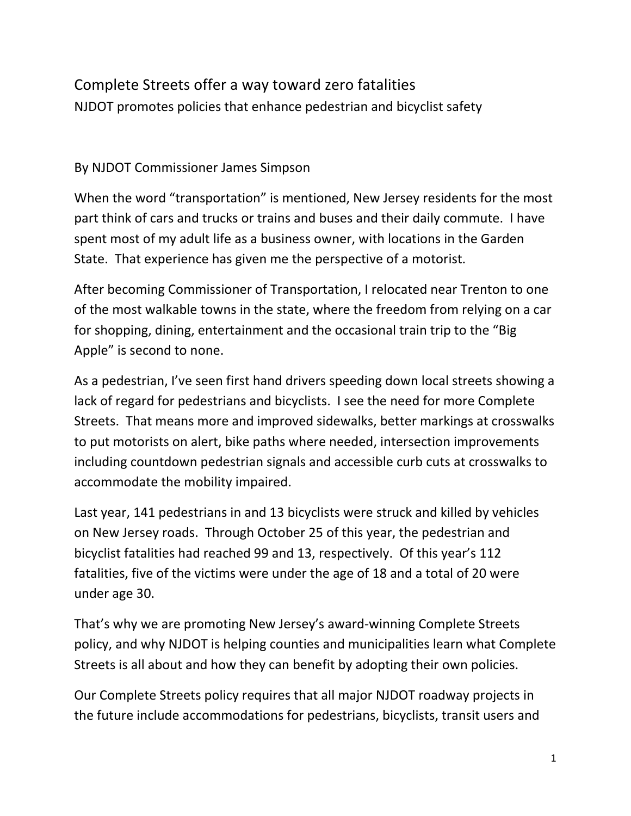## Complete Streets offer a way toward zero fatalities NJDOT promotes policies that enhance pedestrian and bicyclist safety

## By NJDOT Commissioner James Simpson

When the word "transportation" is mentioned, New Jersey residents for the most part think of cars and trucks or trains and buses and their daily commute. I have spent most of my adult life as a business owner, with locations in the Garden State. That experience has given me the perspective of a motorist.

After becoming Commissioner of Transportation, I relocated near Trenton to one of the most walkable towns in the state, where the freedom from relying on a car for shopping, dining, entertainment and the occasional train trip to the "Big Apple" is second to none.

As a pedestrian, I've seen first hand drivers speeding down local streets showing a lack of regard for pedestrians and bicyclists. I see the need for more Complete Streets. That means more and improved sidewalks, better markings at crosswalks to put motorists on alert, bike paths where needed, intersection improvements including countdown pedestrian signals and accessible curb cuts at crosswalks to accommodate the mobility impaired.

Last year, 141 pedestrians in and 13 bicyclists were struck and killed by vehicles on New Jersey roads. Through October 25 of this year, the pedestrian and bicyclist fatalities had reached 99 and 13, respectively. Of this year's 112 fatalities, five of the victims were under the age of 18 and a total of 20 were under age 30.

That's why we are promoting New Jersey's award-winning Complete Streets policy, and why NJDOT is helping counties and municipalities learn what Complete Streets is all about and how they can benefit by adopting their own policies.

Our Complete Streets policy requires that all major NJDOT roadway projects in the future include accommodations for pedestrians, bicyclists, transit users and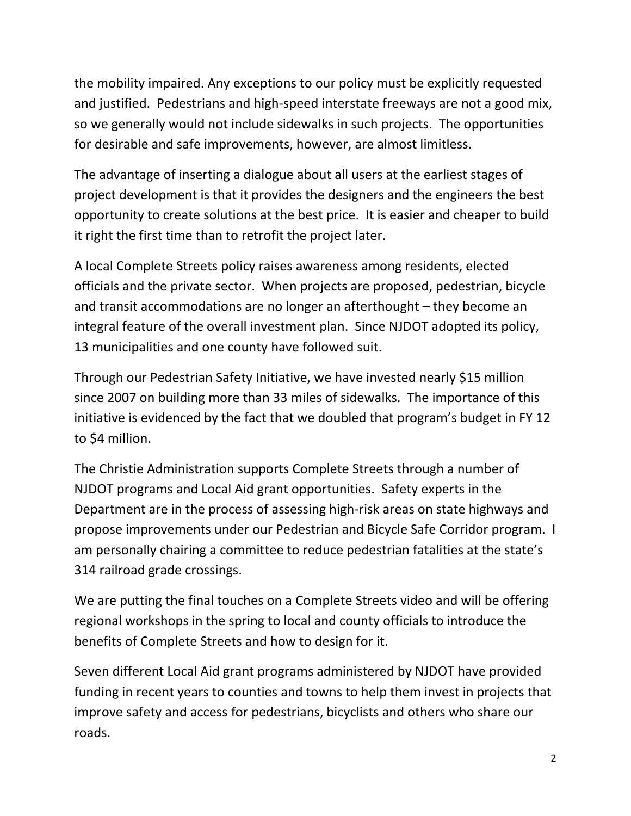the mobility impaired. Any exceptions to our policy must be explicitly requested and justified. Pedestrians and high-speed interstate freeways are not a good mix, so we generally would not include sidewalks in such projects. The opportunities for desirable and safe improvements, however, are almost limitless.

The advantage of inserting a dialogue about all users at the earliest stages of project development is that it provides the designers and the engineers the best opportunity to create solutions at the best price. It is easier and cheaper to build it right the first time than to retrofit the project later.

A local Complete Streets policy raises awareness among residents, elected officials and the private sector. When projects are proposed, pedestrian, bicycle and transit accommodations are no longer an afterthought – they become an integral feature of the overall investment plan. Since NJDOT adopted its policy, 13 municipalities and one county have followed suit.

Through our Pedestrian Safety Initiative, we have invested nearly \$15 million since 2007 on building more than 33 miles of sidewalks. The importance of this initiative is evidenced by the fact that we doubled that program's budget in FY 12 to \$4 million.

The Christie Administration supports Complete Streets through a number of NJDOT programs and Local Aid grant opportunities. Safety experts in the Department are in the process of assessing high-risk areas on state highways and propose improvements under our Pedestrian and Bicycle Safe Corridor program. I am personally chairing a committee to reduce pedestrian fatalities at the state's 314 railroad grade crossings.

We are putting the final touches on a Complete Streets video and will be offering regional workshops in the spring to local and county officials to introduce the benefits of Complete Streets and how to design for it.

Seven different Local Aid grant programs administered by NJDOT have provided funding in recent years to counties and towns to help them invest in projects that improve safety and access for pedestrians, bicyclists and others who share our roads.